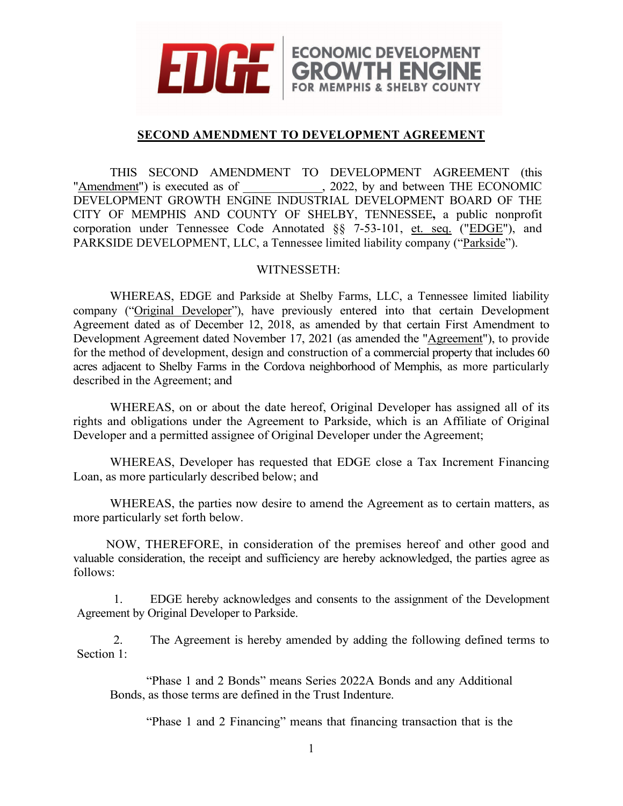

## **SECOND AMENDMENT TO DEVELOPMENT AGREEMENT**

ECONOMIC DEVELOPMENT<br>**GROWTH ENGINE**<br>FOR MEMPHIS & SHELBY COUNTY

THIS SECOND AMENDMENT TO DEVELOPMENT AGREEMENT (this dment") is executed as of  $, 2022,$  by and between THE ECONOMIC "Amendment") is executed as of DEVELOPMENT GROWTH ENGINE INDUSTRIAL DEVELOPMENT BOARD OF THE CITY OF MEMPHIS AND COUNTY OF SHELBY, TENNESSEE**,** a public nonprofit corporation under Tennessee Code Annotated §§ 7-53-101, et. seq. ("EDGE"), and PARKSIDE DEVELOPMENT, LLC, a Tennessee limited liability company ("Parkside").

## WITNESSETH:

WHEREAS, EDGE and Parkside at Shelby Farms, LLC, a Tennessee limited liability company ("Original Developer"), have previously entered into that certain Development Agreement dated as of December 12, 2018, as amended by that certain First Amendment to Development Agreement dated November 17, 2021 (as amended the "Agreement"), to provide for the method of development, design and construction of a commercial property that includes 60 acres adjacent to Shelby Farms in the Cordova neighborhood of Memphis, as more particularly described in the Agreement; and

WHEREAS, on or about the date hereof, Original Developer has assigned all of its rights and obligations under the Agreement to Parkside, which is an Affiliate of Original Developer and a permitted assignee of Original Developer under the Agreement;

WHEREAS, Developer has requested that EDGE close a Tax Increment Financing Loan, as more particularly described below; and

WHEREAS, the parties now desire to amend the Agreement as to certain matters, as more particularly set forth below.

NOW, THEREFORE, in consideration of the premises hereof and other good and valuable consideration, the receipt and sufficiency are hereby acknowledged, the parties agree as follows:

1. EDGE hereby acknowledges and consents to the assignment of the Development Agreement by Original Developer to Parkside.

2. The Agreement is hereby amended by adding the following defined terms to Section 1:

"Phase 1 and 2 Bonds" means Series 2022A Bonds and any Additional Bonds, as those terms are defined in the Trust Indenture.

"Phase 1 and 2 Financing" means that financing transaction that is the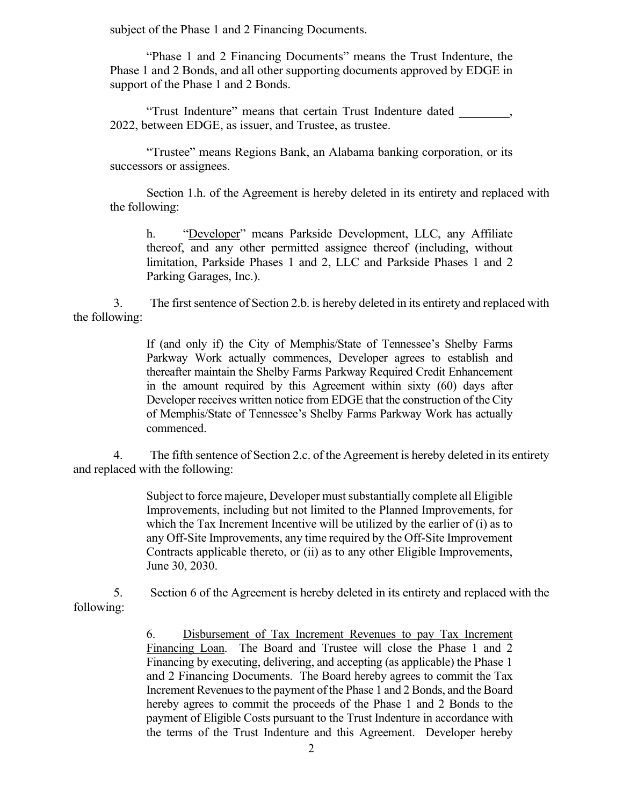subject of the Phase 1 and 2 Financing Documents.

"Phase 1 and 2 Financing Documents" means the Trust Indenture, the Phase 1 and 2 Bonds, and all other supporting documents approved by EDGE in support of the Phase 1 and 2 Bonds.

"Trust Indenture" means that certain Trust Indenture dated \_\_\_\_\_\_\_\_, 2022, between EDGE, as issuer, and Trustee, as trustee.

"Trustee" means Regions Bank, an Alabama banking corporation, or its successors or assignees.

Section 1.h. of the Agreement is hereby deleted in its entirety and replaced with the following:

h. "Developer" means Parkside Development, LLC, any Affiliate thereof, and any other permitted assignee thereof (including, without limitation, Parkside Phases 1 and 2, LLC and Parkside Phases 1 and 2 Parking Garages, Inc.).

3. The first sentence of Section 2.b. is hereby deleted in its entirety and replaced with the following:

> If (and only if) the City of Memphis/State of Tennessee's Shelby Farms Parkway Work actually commences, Developer agrees to establish and thereafter maintain the Shelby Farms Parkway Required Credit Enhancement in the amount required by this Agreement within sixty (60) days after Developer receives written notice from EDGE that the construction of the City of Memphis/State of Tennessee's Shelby Farms Parkway Work has actually commenced.

4. The fifth sentence of Section 2.c. of the Agreement is hereby deleted in its entirety and replaced with the following:

> Subject to force majeure, Developer must substantially complete all Eligible Improvements, including but not limited to the Planned Improvements, for which the Tax Increment Incentive will be utilized by the earlier of (i) as to any Off-Site Improvements, any time required by the Off-Site Improvement Contracts applicable thereto, or (ii) as to any other Eligible Improvements, June 30, 2030.

5. Section 6 of the Agreement is hereby deleted in its entirety and replaced with the following:

> 6. Disbursement of Tax Increment Revenues to pay Tax Increment Financing Loan. The Board and Trustee will close the Phase 1 and 2 Financing by executing, delivering, and accepting (as applicable) the Phase 1 and 2 Financing Documents. The Board hereby agrees to commit the Tax Increment Revenues to the payment of the Phase 1 and 2 Bonds, and the Board hereby agrees to commit the proceeds of the Phase 1 and 2 Bonds to the payment of Eligible Costs pursuant to the Trust Indenture in accordance with the terms of the Trust Indenture and this Agreement. Developer hereby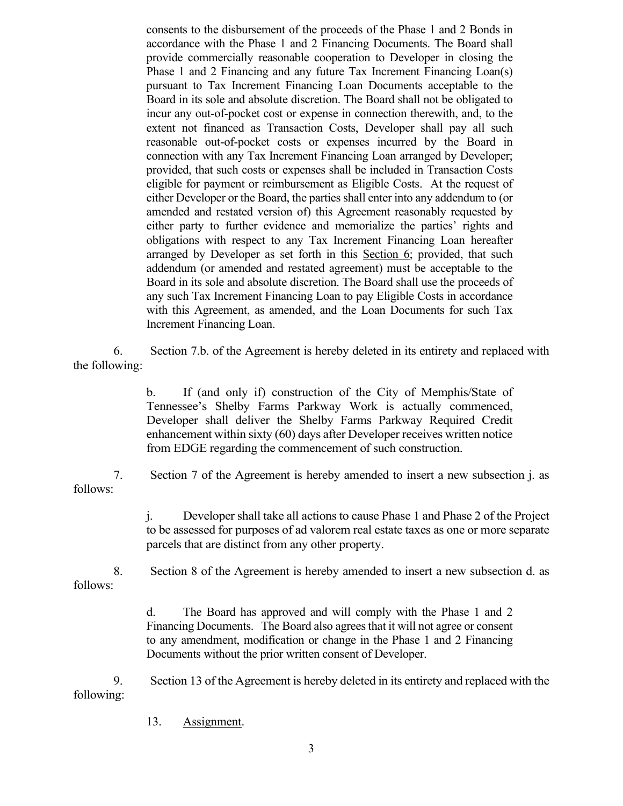consents to the disbursement of the proceeds of the Phase 1 and 2 Bonds in accordance with the Phase 1 and 2 Financing Documents. The Board shall provide commercially reasonable cooperation to Developer in closing the Phase 1 and 2 Financing and any future Tax Increment Financing Loan(s) pursuant to Tax Increment Financing Loan Documents acceptable to the Board in its sole and absolute discretion. The Board shall not be obligated to incur any out-of-pocket cost or expense in connection therewith, and, to the extent not financed as Transaction Costs, Developer shall pay all such reasonable out-of-pocket costs or expenses incurred by the Board in connection with any Tax Increment Financing Loan arranged by Developer; provided, that such costs or expenses shall be included in Transaction Costs eligible for payment or reimbursement as Eligible Costs. At the request of either Developer or the Board, the parties shall enter into any addendum to (or amended and restated version of) this Agreement reasonably requested by either party to further evidence and memorialize the parties' rights and obligations with respect to any Tax Increment Financing Loan hereafter arranged by Developer as set forth in this Section 6; provided, that such addendum (or amended and restated agreement) must be acceptable to the Board in its sole and absolute discretion. The Board shall use the proceeds of any such Tax Increment Financing Loan to pay Eligible Costs in accordance with this Agreement, as amended, and the Loan Documents for such Tax Increment Financing Loan.

6. Section 7.b. of the Agreement is hereby deleted in its entirety and replaced with the following:

> b. If (and only if) construction of the City of Memphis/State of Tennessee's Shelby Farms Parkway Work is actually commenced, Developer shall deliver the Shelby Farms Parkway Required Credit enhancement within sixty (60) days after Developer receives written notice from EDGE regarding the commencement of such construction.

7. Section 7 of the Agreement is hereby amended to insert a new subsection j. as follows:

> j. Developer shall take all actions to cause Phase 1 and Phase 2 of the Project to be assessed for purposes of ad valorem real estate taxes as one or more separate parcels that are distinct from any other property.

8. Section 8 of the Agreement is hereby amended to insert a new subsection d. as follows:

> d. The Board has approved and will comply with the Phase 1 and 2 Financing Documents. The Board also agrees that it will not agree or consent to any amendment, modification or change in the Phase 1 and 2 Financing Documents without the prior written consent of Developer.

9. Section 13 of the Agreement is hereby deleted in its entirety and replaced with the following:

13. Assignment.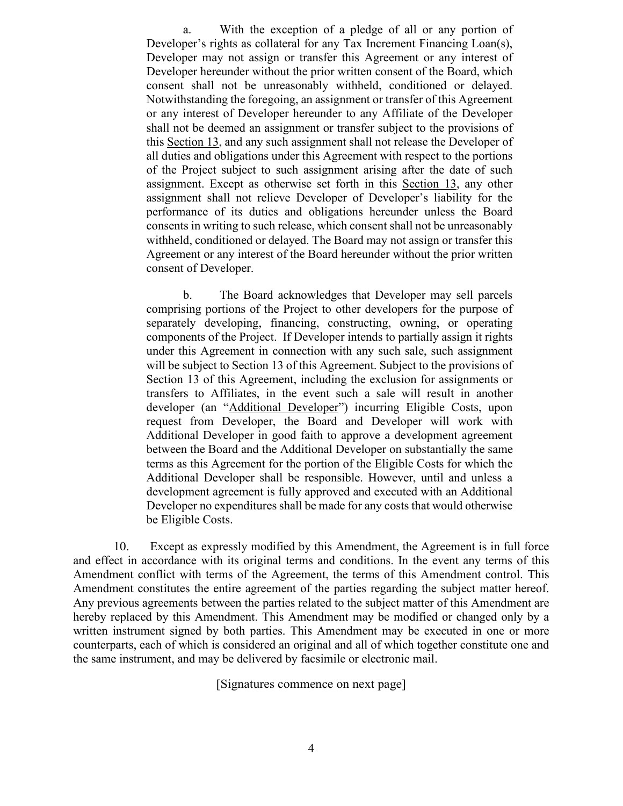a. With the exception of a pledge of all or any portion of Developer's rights as collateral for any Tax Increment Financing Loan(s), Developer may not assign or transfer this Agreement or any interest of Developer hereunder without the prior written consent of the Board, which consent shall not be unreasonably withheld, conditioned or delayed. Notwithstanding the foregoing, an assignment or transfer of this Agreement or any interest of Developer hereunder to any Affiliate of the Developer shall not be deemed an assignment or transfer subject to the provisions of this Section 13, and any such assignment shall not release the Developer of all duties and obligations under this Agreement with respect to the portions of the Project subject to such assignment arising after the date of such assignment. Except as otherwise set forth in this Section 13, any other assignment shall not relieve Developer of Developer's liability for the performance of its duties and obligations hereunder unless the Board consents in writing to such release, which consent shall not be unreasonably withheld, conditioned or delayed. The Board may not assign or transfer this Agreement or any interest of the Board hereunder without the prior written consent of Developer.

b. The Board acknowledges that Developer may sell parcels comprising portions of the Project to other developers for the purpose of separately developing, financing, constructing, owning, or operating components of the Project. If Developer intends to partially assign it rights under this Agreement in connection with any such sale, such assignment will be subject to Section 13 of this Agreement. Subject to the provisions of Section 13 of this Agreement, including the exclusion for assignments or transfers to Affiliates, in the event such a sale will result in another developer (an "Additional Developer") incurring Eligible Costs, upon request from Developer, the Board and Developer will work with Additional Developer in good faith to approve a development agreement between the Board and the Additional Developer on substantially the same terms as this Agreement for the portion of the Eligible Costs for which the Additional Developer shall be responsible. However, until and unless a development agreement is fully approved and executed with an Additional Developer no expenditures shall be made for any costs that would otherwise be Eligible Costs.

10. Except as expressly modified by this Amendment, the Agreement is in full force and effect in accordance with its original terms and conditions. In the event any terms of this Amendment conflict with terms of the Agreement, the terms of this Amendment control. This Amendment constitutes the entire agreement of the parties regarding the subject matter hereof. Any previous agreements between the parties related to the subject matter of this Amendment are hereby replaced by this Amendment. This Amendment may be modified or changed only by a written instrument signed by both parties. This Amendment may be executed in one or more counterparts, each of which is considered an original and all of which together constitute one and the same instrument, and may be delivered by facsimile or electronic mail.

[Signatures commence on next page]